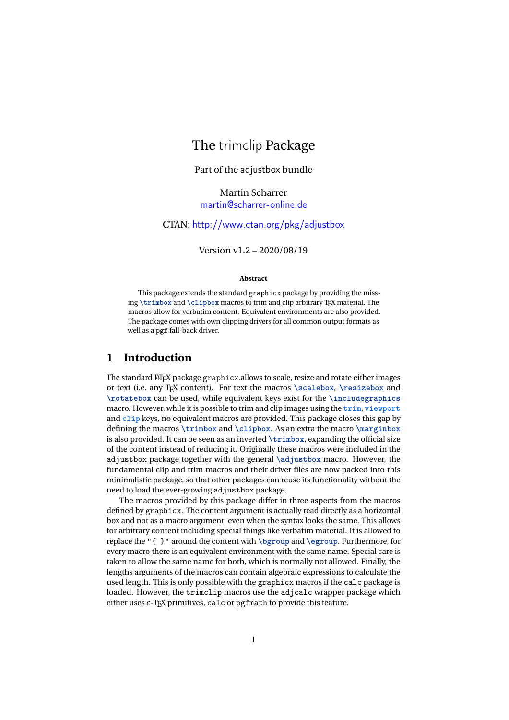# The trimclip Package

Part of the adjustbox bundle

Martin Scharrer [martin@scharrer-online.de](mailto:martin@scharrer-online.de)

CTAN: <http://www.ctan.org/pkg/adjustbox>

Version v1.2 – 2020/08/19

#### **Abstract**

This package extends the standard graphicx package by providing the missing \trimbox and \clipbox macros to trim and clip arbitrary T<sub>E</sub>X material. The macros allow for verbatim content. Equivalent environments are also provided. The package comes with own clipping drivers for all common output formats as well as a pgf fall-back driver.

# **1 Introduction**

The standard LTFX package graphicx.allows to scale, resize and rotate either images or text (i.e. any TEX content). For text the macros **\scalebox**, **\resizebox** and **\rotatebox** can be used, while equivalent keys exist for the **\includegraphics** macro. However, while it is possible to trim and clip images using the **trim**, **viewport** and **clip** keys, no equivalent macros are provided. This package closes this gap by defining the macros **\trimbox** and **\clipbox**. As an extra the macro **\marginbox** is also provided. It can be seen as an inverted **\trimbox**, expanding the official size of the content instead of reducing it. Originally these macros were included in the adjustbox package together with the general **\adjustbox** macro. However, the fundamental clip and trim macros and their driver files are now packed into this minimalistic package, so that other packages can reuse its functionality without the need to load the ever-growing adjustbox package.

The macros provided by this package differ in three aspects from the macros defined by graphicx. The content argument is actually read directly as a horizontal box and not as a macro argument, even when the syntax looks the same. This allows for arbitrary content including special things like verbatim material. It is allowed to replace the "{ }" around the content with **\bgroup** and **\egroup**. Furthermore, for every macro there is an equivalent environment with the same name. Special care is taken to allow the same name for both, which is normally not allowed. Finally, the lengths arguments of the macros can contain algebraic expressions to calculate the used length. This is only possible with the graphicx macros if the calc package is loaded. However, the trimclip macros use the adjcalc wrapper package which either uses  $\epsilon$ -T<sub>E</sub>X primitives, calc or pgfmath to provide this feature.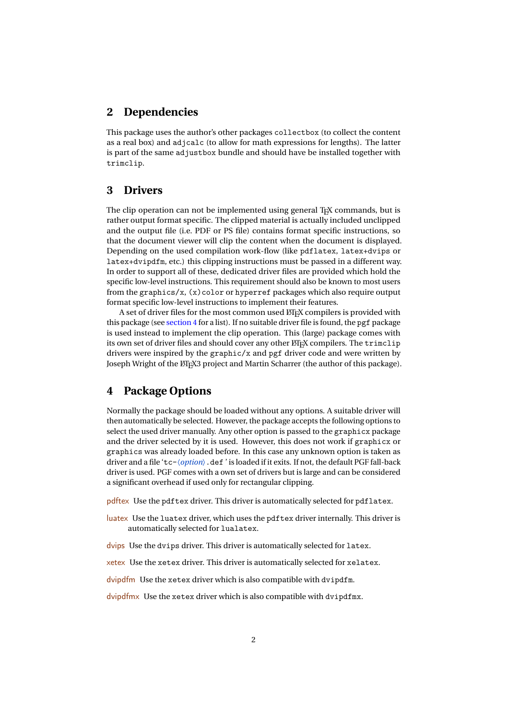## **2 Dependencies**

This package uses the author's other packages collectbox (to collect the content as a real box) and adjcalc (to allow for math expressions for lengths). The latter is part of the same adjustbox bundle and should have be installed together with trimclip.

## **3 Drivers**

The clip operation can not be implemented using general T<sub>EX</sub> commands, but is rather output format specific. The clipped material is actually included unclipped and the output file (i.e. PDF or PS file) contains format specific instructions, so that the document viewer will clip the content when the document is displayed. Depending on the used compilation work-flow (like pdflatex, latex+dvips or latex+dvipdfm, etc.) this clipping instructions must be passed in a different way. In order to support all of these, dedicated driver files are provided which hold the specific low-level instructions. This requirement should also be known to most users from the graphics/ $x$ ,  $(x)$ color or hyperref packages which also require output format specific low-level instructions to implement their features.

A set of driver files for the most common used LATEX compilers is provided with this package (see [section 4](#page-1-0) for a list). If no suitable driver file is found, the pgf package is used instead to implement the clip operation. This (large) package comes with its own set of driver files and should cover any other LATEX compilers. The trimclip drivers were inspired by the graphic/x and pgf driver code and were written by Joseph Wright of the ETEX3 project and Martin Scharrer (the author of this package).

# <span id="page-1-0"></span>**4 Package Options**

Normally the package should be loaded without any options. A suitable driver will then automatically be selected. However, the package accepts the following options to select the used driver manually. Any other option is passed to the graphicx package and the driver selected by it is used. However, this does not work if graphicx or graphics was already loaded before. In this case any unknown option is taken as driver and a file 'tc-〈*option*〉.def ' is loaded if it exits. If not, the default PGF fall-back driver is used. PGF comes with a own set of drivers but is large and can be considered a significant overhead if used only for rectangular clipping.

pdftex Use the pdftex driver. This driver is automatically selected for pdflatex.

luatex Use the luatex driver, which uses the pdftex driver internally. This driver is automatically selected for lualatex.

dvips Use the dvips driver. This driver is automatically selected for latex.

xetex Use the xetex driver. This driver is automatically selected for xelatex.

dvipdfm Use the xetex driver which is also compatible with dvipdfm.

dvipdfmx Use the xetex driver which is also compatible with dvipdfmx.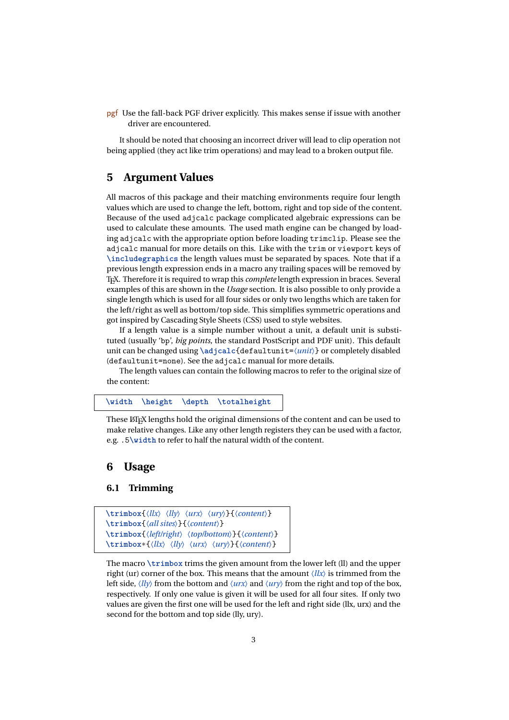pgf Use the fall-back PGF driver explicitly. This makes sense if issue with another driver are encountered.

It should be noted that choosing an incorrect driver will lead to clip operation not being applied (they act like trim operations) and may lead to a broken output file.

## **5 Argument Values**

All macros of this package and their matching environments require four length values which are used to change the left, bottom, right and top side of the content. Because of the used adjcalc package complicated algebraic expressions can be used to calculate these amounts. The used math engine can be changed by loading adjcalc with the appropriate option before loading trimclip. Please see the adjcalc manual for more details on this. Like with the trim or viewport keys of **\includegraphics** the length values must be separated by spaces. Note that if a previous length expression ends in a macro any trailing spaces will be removed by TEX. Therefore it is required to wrap this *complete* length expression in braces. Several examples of this are shown in the *Usage* section. It is also possible to only provide a single length which is used for all four sides or only two lengths which are taken for the left/right as well as bottom/top side. This simplifies symmetric operations and got inspired by Cascading Style Sheets (CSS) used to style websites.

If a length value is a simple number without a unit, a default unit is substituted (usually 'bp', *big points*, the standard PostScript and PDF unit). This default unit can be changed using \adjcalc{defaultunit= $\langle unit \rangle$ } or completely disabled (defaultunit=none). See the adjcalc manual for more details.

The length values can contain the following macros to refer to the original size of the content:

**\width \height \depth \totalheight**

These LATEX lengths hold the original dimensions of the content and can be used to make relative changes. Like any other length registers they can be used with a factor, e.g. .5**\width** to refer to half the natural width of the content.

## **6 Usage**

### **6.1 Trimming**

```
\trimbox{〈llx〉 〈lly〉 〈urx〉 〈ury〉}{〈content〉}
\trimbox{〈all sites〉}{〈content〉}
\trimbox{〈left/right〉 〈top/bottom〉}{〈content〉}
\trimbox*{〈llx〉 〈lly〉 〈urx〉 〈ury〉}{〈content〉}
```
The macro **\trimbox** trims the given amount from the lower left (ll) and the upper right (ur) corner of the box. This means that the amount  $\langle llx \rangle$  is trimmed from the left side,  $\langle l \rangle$  from the bottom and  $\langle \langle \langle u \rangle \rangle$  and  $\langle \langle \langle u \rangle \rangle$  from the right and top of the box, respectively. If only one value is given it will be used for all four sites. If only two values are given the first one will be used for the left and right side (llx, urx) and the second for the bottom and top side (lly, ury).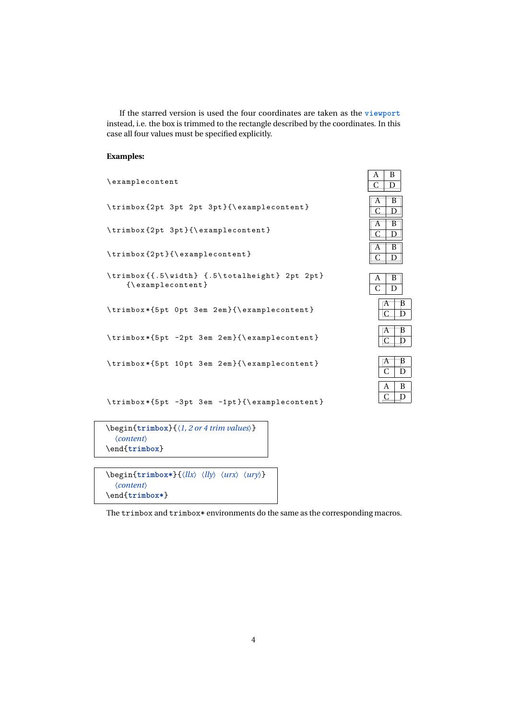If the starred version is used the four coordinates are taken as the **viewport** instead, i.e. the box is trimmed to the rectangle described by the coordinates. In this case all four values must be specified explicitly.

### **Examples:**

| \examplecontent                                                                                                                                                                         | <b><i><u>I</u></i></b> I<br>╍<br>C<br>D |
|-----------------------------------------------------------------------------------------------------------------------------------------------------------------------------------------|-----------------------------------------|
| \trimbox{2pt 3pt 2pt 3pt}{\examplecontent}                                                                                                                                              | B<br>Α<br>C<br>D                        |
| \trimbox{2pt 3pt}{\examplecontent}                                                                                                                                                      | B<br>A<br>C<br>D                        |
| $\trich{2pt}({\texttt{examplecontent}}$                                                                                                                                                 | B<br>A<br>C<br>D                        |
| \trimbox{{.5\width} {.5\totalheight} 2pt 2pt}<br>$\{\langle$ examplecontent }                                                                                                           | B<br>A<br>C<br>D                        |
| \trimbox*{5pt 0pt 3em 2em}{\examplecontent}                                                                                                                                             | B<br>А<br>$\mathcal{C}$<br>Е            |
| \trimbox*{5pt -2pt 3em 2em}{\examplecontent}                                                                                                                                            | B<br>A<br>C<br>D                        |
| \trimbox*{5pt 10pt 3em 2em}{\examplecontent}                                                                                                                                            | B<br>А<br>C<br>D                        |
| \trimbox*{5pt -3pt 3em -1pt}{\examplecontent}                                                                                                                                           | B<br>A<br>C<br>D                        |
| $\begin{equation*} {\langle l, 2 \text{ or } 4 \text{ trim values}} \end{equation*}$                                                                                                    |                                         |
| $\langle content \rangle$<br>\end{trimbox}                                                                                                                                              |                                         |
| $\begin{align} \begin{cases} \frac{ \tan \theta x}{\ln \theta} & \langle llx \rangle \\ \langle llx \rangle & \langle urx \rangle \end{cases} \end{align}$<br>$\langle content \rangle$ |                                         |

\end{**trimbox\***}

The  $\tt trimbox and trimbox*$  environments do the same as the corresponding macros.

| $\frac{A}{A}$  | B |
|----------------|---|
| $\overline{C}$ |   |
|                |   |
| А              | B |
|                |   |
|                |   |
| P              | B |
|                |   |
|                |   |
| A              | B |
|                |   |
|                |   |
|                |   |
|                | B |
|                |   |

|  | В |   |
|--|---|---|
|  |   |   |
|  | A | B |
|  |   |   |
|  | А | B |
|  |   |   |

| Н |   |
|---|---|
|   |   |
| A | B |
|   |   |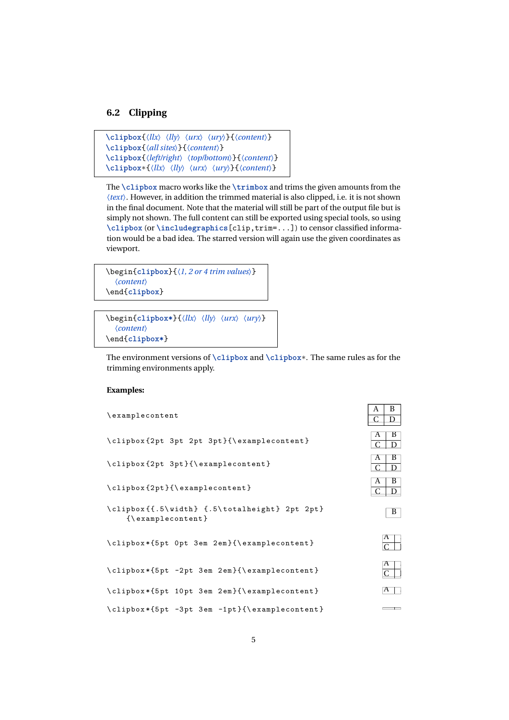## **6.2 Clipping**

```
\clipbox{〈llx〉 〈lly〉 〈urx〉 〈ury〉}{〈content〉}
\clipbox{〈all sites〉}{〈content〉}
\clipbox{〈left/right〉 〈top/bottom〉}{〈content〉}
\clipbox*{〈llx〉 〈lly〉 〈urx〉 〈ury〉}{〈content〉}
```
The **\clipbox** macro works like the **\trimbox** and trims the given amounts from the 〈*text*〉. However, in addition the trimmed material is also clipped, i.e. it is not shown in the final document. Note that the material will still be part of the output file but is simply not shown. The full content can still be exported using special tools, so using **\clipbox** (or **\includegraphics**[clip,trim=...]) to censor classified information would be a bad idea. The starred version will again use the given coordinates as viewport.

```
\begin{clipbox}{〈1, 2 or 4 trim values〉}
  〈content〉
\end{clipbox}
```

```
\begin{clipbox*}{〈llx〉 〈lly〉 〈urx〉 〈ury〉}
  〈content〉
\end{clipbox*}
```
The environment versions of **\clipbox** and **\clipbox**\*. The same rules as for the trimming environments apply.

 $\sqrt{2}$ 

### **Examples:**

| \examplecontent                                                               | $\mathbf{L}$<br>D<br>D       |
|-------------------------------------------------------------------------------|------------------------------|
| \clipbox{2pt 3pt 2pt 3pt}{\examplecontent}                                    | В<br>А<br>$\mathcal{C}$<br>D |
| \clipbox{2pt 3pt}{\examplecontent}                                            | В<br>A<br>D                  |
| $\clipbox{2pt}$ {\examplecontent}                                             | B<br>A<br>D                  |
| \clipbox{{.5\width} {.5\totalheight} 2pt 2pt}<br>$\{\langle$ examplecontent } | B                            |
| \clipbox*{5pt 0pt 3em 2em}{\examplecontent}                                   | A                            |
| \clipbox*{5pt -2pt 3em 2em}{\examplecontent}                                  | A                            |
| \clipbox*{5pt 10pt 3em 2em}{\examplecontent}                                  | А                            |
| \clipbox*{5pt -3pt 3em -1pt}{\examplecontent}                                 |                              |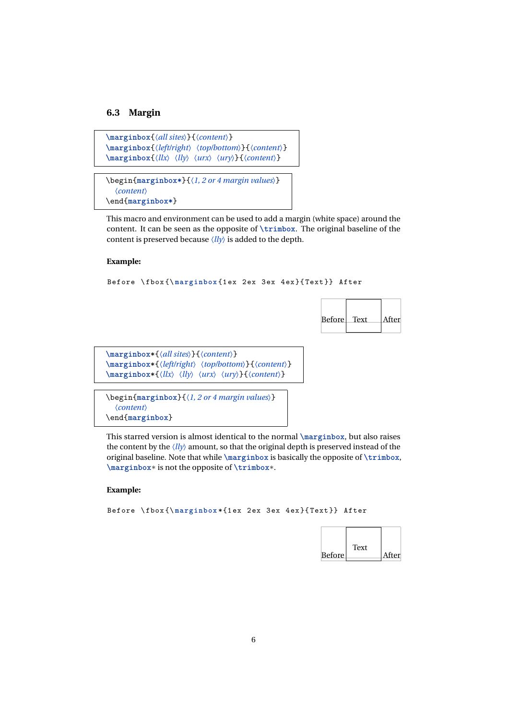#### **6.3 Margin**

```
\marginbox{〈all sites〉}{〈content〉}
\marginbox{〈left/right〉 〈top/bottom〉}{〈content〉}
\marginbox{〈llx〉 〈lly〉 〈urx〉 〈ury〉}{〈content〉}
```

```
\begin{marginbox*}{〈1, 2 or 4 margin values〉}
  〈content〉
\end{marginbox*}
```
This macro and environment can be used to add a margin (white space) around the content. It can be seen as the opposite of **\trimbox**. The original baseline of the content is preserved because  $\langle ll_V \rangle$  is added to the depth.

#### **Example:**

```
Before \ fbox {\ marginbox {1 ex 2 ex 3 ex 4 ex }{ Text }} After
```


```
\marginbox*{〈all sites〉}{〈content〉}
\marginbox*{〈left/right〉 〈top/bottom〉}{〈content〉}
\marginbox*{〈llx〉 〈lly〉 〈urx〉 〈ury〉}{〈content〉}
```

```
\begin{marginbox}{〈1, 2 or 4 margin values〉}
  〈content〉
\end{marginbox}
```
This starred version is almost identical to the normal **\marginbox**, but also raises the content by the 〈*lly*〉 amount, so that the original depth is preserved instead of the original baseline. Note that while **\marginbox** is basically the opposite of **\trimbox**, **\marginbox**\* is not the opposite of **\trimbox**\*.

#### **Example:**

```
Before \ fbox {\ marginbox *{1 ex 2 ex 3 ex 4 ex }{ Text }} After
```

| <b>Before</b> | Text | After |
|---------------|------|-------|
|               |      |       |

 $\overline{\phantom{a}}$ 

 $\overline{\phantom{a}}$ 

 $\overline{\phantom{0}}$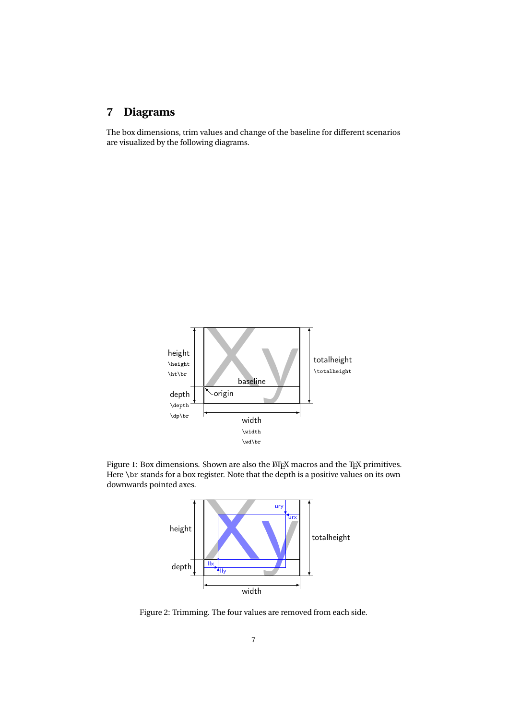# **7 Diagrams**

The box dimensions, trim values and change of the baseline for different scenarios are visualized by the following diagrams.



Figure 1: Box dimensions. Shown are also the LTEX macros and the TEX primitives. Here \br stands for a box register. Note that the depth is a positive values on its own downwards pointed axes.



Figure 2: Trimming. The four values are removed from each side.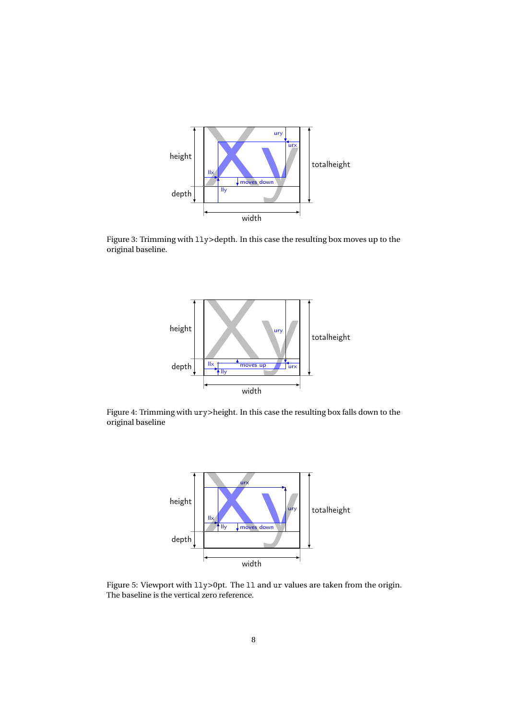

Figure 3: Trimming with lly>depth. In this case the resulting box moves up to the original baseline.



Figure 4: Trimming with ury>height. In this case the resulting box falls down to the original baseline



Figure 5: Viewport with  $11y>0$ pt. The 11 and ur values are taken from the origin. The baseline is the vertical zero reference.